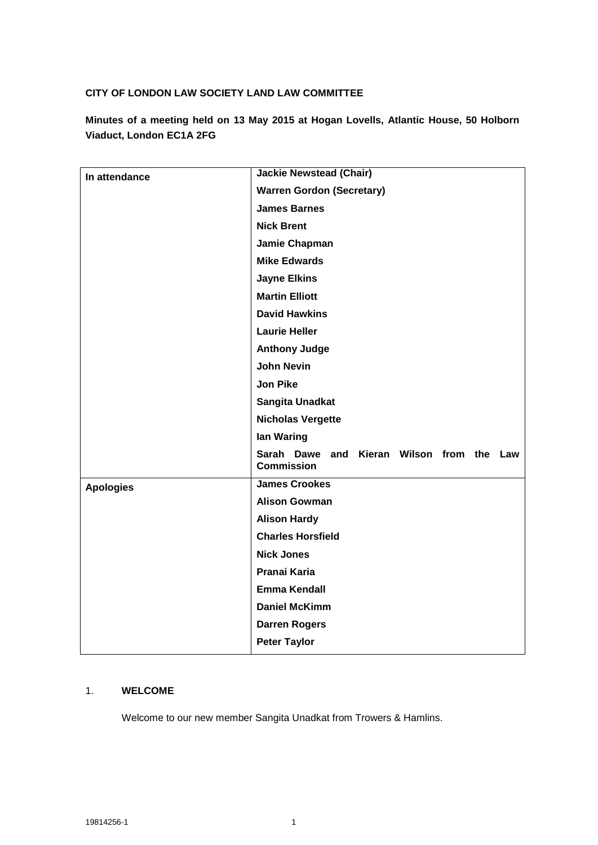### **CITY OF LONDON LAW SOCIETY LAND LAW COMMITTEE**

| Minutes of a meeting held on 13 May 2015 at Hogan Lovells, Atlantic House, 50 Holborn |  |  |  |
|---------------------------------------------------------------------------------------|--|--|--|
| Viaduct, London EC1A 2FG                                                              |  |  |  |

| In attendance    | <b>Jackie Newstead (Chair)</b>                                    |  |  |  |  |
|------------------|-------------------------------------------------------------------|--|--|--|--|
|                  | <b>Warren Gordon (Secretary)</b>                                  |  |  |  |  |
|                  | <b>James Barnes</b>                                               |  |  |  |  |
|                  | <b>Nick Brent</b>                                                 |  |  |  |  |
|                  | Jamie Chapman                                                     |  |  |  |  |
|                  | <b>Mike Edwards</b>                                               |  |  |  |  |
|                  | <b>Jayne Elkins</b>                                               |  |  |  |  |
|                  | <b>Martin Elliott</b>                                             |  |  |  |  |
|                  | <b>David Hawkins</b>                                              |  |  |  |  |
|                  | <b>Laurie Heller</b>                                              |  |  |  |  |
|                  | <b>Anthony Judge</b>                                              |  |  |  |  |
|                  | <b>John Nevin</b>                                                 |  |  |  |  |
|                  | <b>Jon Pike</b>                                                   |  |  |  |  |
|                  | Sangita Unadkat                                                   |  |  |  |  |
|                  | <b>Nicholas Vergette</b>                                          |  |  |  |  |
|                  | lan Waring                                                        |  |  |  |  |
|                  | Dawe and Kieran Wilson from the Law<br>Sarah<br><b>Commission</b> |  |  |  |  |
| <b>Apologies</b> | <b>James Crookes</b>                                              |  |  |  |  |
|                  | <b>Alison Gowman</b>                                              |  |  |  |  |
|                  | <b>Alison Hardy</b>                                               |  |  |  |  |
|                  | <b>Charles Horsfield</b>                                          |  |  |  |  |
|                  | <b>Nick Jones</b>                                                 |  |  |  |  |
|                  | <b>Pranai Karia</b>                                               |  |  |  |  |
|                  | <b>Emma Kendall</b>                                               |  |  |  |  |
|                  | <b>Daniel McKimm</b>                                              |  |  |  |  |
|                  | <b>Darren Rogers</b>                                              |  |  |  |  |
|                  | <b>Peter Taylor</b>                                               |  |  |  |  |

#### 1. **WELCOME**

Welcome to our new member Sangita Unadkat from Trowers & Hamlins.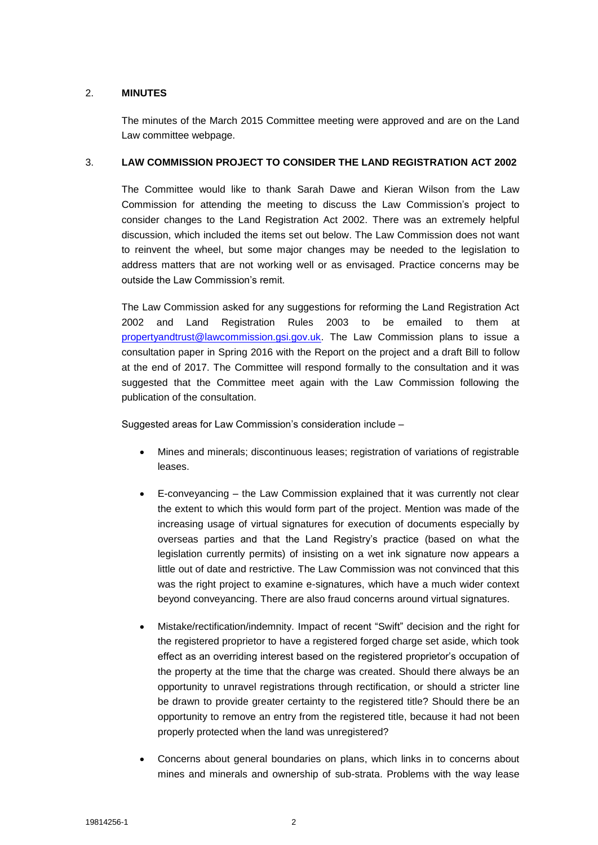### 2. **MINUTES**

The minutes of the March 2015 Committee meeting were approved and are on the Land Law committee webpage.

### 3. **LAW COMMISSION PROJECT TO CONSIDER THE LAND REGISTRATION ACT 2002**

The Committee would like to thank Sarah Dawe and Kieran Wilson from the Law Commission for attending the meeting to discuss the Law Commission's project to consider changes to the Land Registration Act 2002. There was an extremely helpful discussion, which included the items set out below. The Law Commission does not want to reinvent the wheel, but some major changes may be needed to the legislation to address matters that are not working well or as envisaged. Practice concerns may be outside the Law Commission's remit.

The Law Commission asked for any suggestions for reforming the Land Registration Act 2002 and Land Registration Rules 2003 to be emailed to them at [propertyandtrust@lawcommission.gsi.gov.uk.](mailto:propertyandtrust@lawcommission.gsi.gov.uk) The Law Commission plans to issue a consultation paper in Spring 2016 with the Report on the project and a draft Bill to follow at the end of 2017. The Committee will respond formally to the consultation and it was suggested that the Committee meet again with the Law Commission following the publication of the consultation.

Suggested areas for Law Commission's consideration include –

- Mines and minerals; discontinuous leases; registration of variations of registrable leases.
- E-conveyancing the Law Commission explained that it was currently not clear the extent to which this would form part of the project. Mention was made of the increasing usage of virtual signatures for execution of documents especially by overseas parties and that the Land Registry's practice (based on what the legislation currently permits) of insisting on a wet ink signature now appears a little out of date and restrictive. The Law Commission was not convinced that this was the right project to examine e-signatures, which have a much wider context beyond conveyancing. There are also fraud concerns around virtual signatures.
- Mistake/rectification/indemnity. Impact of recent "Swift" decision and the right for the registered proprietor to have a registered forged charge set aside, which took effect as an overriding interest based on the registered proprietor's occupation of the property at the time that the charge was created. Should there always be an opportunity to unravel registrations through rectification, or should a stricter line be drawn to provide greater certainty to the registered title? Should there be an opportunity to remove an entry from the registered title, because it had not been properly protected when the land was unregistered?
- Concerns about general boundaries on plans, which links in to concerns about mines and minerals and ownership of sub-strata. Problems with the way lease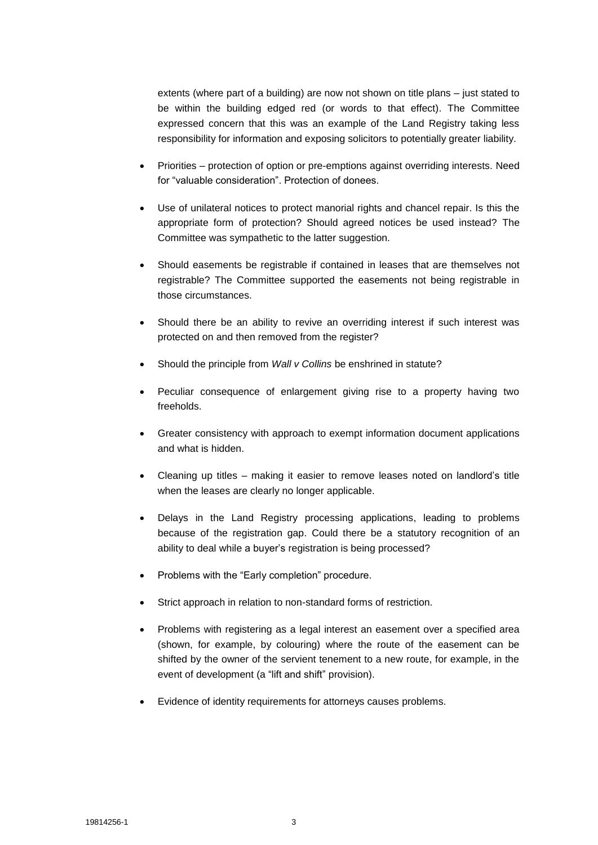extents (where part of a building) are now not shown on title plans – just stated to be within the building edged red (or words to that effect). The Committee expressed concern that this was an example of the Land Registry taking less responsibility for information and exposing solicitors to potentially greater liability.

- Priorities protection of option or pre-emptions against overriding interests. Need for "valuable consideration". Protection of donees.
- Use of unilateral notices to protect manorial rights and chancel repair. Is this the appropriate form of protection? Should agreed notices be used instead? The Committee was sympathetic to the latter suggestion.
- Should easements be registrable if contained in leases that are themselves not registrable? The Committee supported the easements not being registrable in those circumstances.
- Should there be an ability to revive an overriding interest if such interest was protected on and then removed from the register?
- Should the principle from *Wall v Collins* be enshrined in statute?
- Peculiar consequence of enlargement giving rise to a property having two freeholds.
- Greater consistency with approach to exempt information document applications and what is hidden.
- Cleaning up titles making it easier to remove leases noted on landlord's title when the leases are clearly no longer applicable.
- Delays in the Land Registry processing applications, leading to problems because of the registration gap. Could there be a statutory recognition of an ability to deal while a buyer's registration is being processed?
- Problems with the "Early completion" procedure.
- Strict approach in relation to non-standard forms of restriction.
- Problems with registering as a legal interest an easement over a specified area (shown, for example, by colouring) where the route of the easement can be shifted by the owner of the servient tenement to a new route, for example, in the event of development (a "lift and shift" provision).
- Evidence of identity requirements for attorneys causes problems.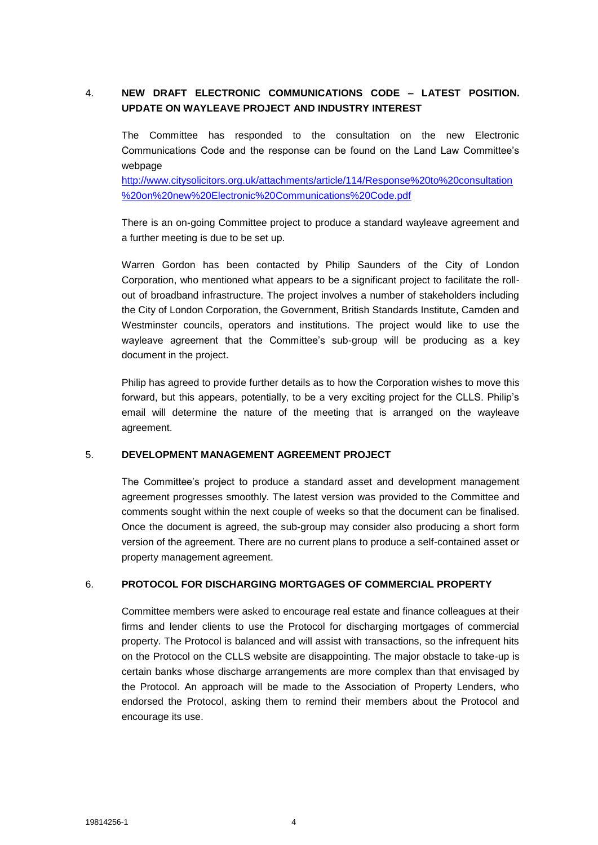# 4. **NEW DRAFT ELECTRONIC COMMUNICATIONS CODE – LATEST POSITION. UPDATE ON WAYLEAVE PROJECT AND INDUSTRY INTEREST**

The Committee has responded to the consultation on the new Electronic Communications Code and the response can be found on the Land Law Committee's webpage

[http://www.citysolicitors.org.uk/attachments/article/114/Response%20to%20consultation](http://www.citysolicitors.org.uk/attachments/article/114/Response%20to%20consultation%20on%20new%20Electronic%20Communications%20Code.pdf) [%20on%20new%20Electronic%20Communications%20Code.pdf](http://www.citysolicitors.org.uk/attachments/article/114/Response%20to%20consultation%20on%20new%20Electronic%20Communications%20Code.pdf)

There is an on-going Committee project to produce a standard wayleave agreement and a further meeting is due to be set up.

Warren Gordon has been contacted by Philip Saunders of the City of London Corporation, who mentioned what appears to be a significant project to facilitate the rollout of broadband infrastructure. The project involves a number of stakeholders including the City of London Corporation, the Government, British Standards Institute, Camden and Westminster councils, operators and institutions. The project would like to use the wayleave agreement that the Committee's sub-group will be producing as a key document in the project.

Philip has agreed to provide further details as to how the Corporation wishes to move this forward, but this appears, potentially, to be a very exciting project for the CLLS. Philip's email will determine the nature of the meeting that is arranged on the wayleave agreement.

#### 5. **DEVELOPMENT MANAGEMENT AGREEMENT PROJECT**

The Committee's project to produce a standard asset and development management agreement progresses smoothly. The latest version was provided to the Committee and comments sought within the next couple of weeks so that the document can be finalised. Once the document is agreed, the sub-group may consider also producing a short form version of the agreement. There are no current plans to produce a self-contained asset or property management agreement.

#### 6. **PROTOCOL FOR DISCHARGING MORTGAGES OF COMMERCIAL PROPERTY**

Committee members were asked to encourage real estate and finance colleagues at their firms and lender clients to use the Protocol for discharging mortgages of commercial property. The Protocol is balanced and will assist with transactions, so the infrequent hits on the Protocol on the CLLS website are disappointing. The major obstacle to take-up is certain banks whose discharge arrangements are more complex than that envisaged by the Protocol. An approach will be made to the Association of Property Lenders, who endorsed the Protocol, asking them to remind their members about the Protocol and encourage its use.